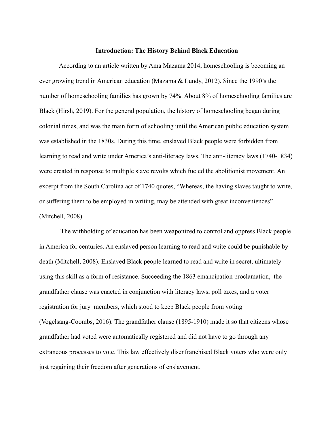#### **Introduction: The History Behind Black Education**

According to an article written by Ama Mazama 2014, homeschooling is becoming an ever growing trend in American education (Mazama & Lundy, 2012). Since the 1990's the number of homeschooling families has grown by 74%. About 8% of homeschooling families are Black (Hirsh, 2019). For the general population, the history of homeschooling began during colonial times, and was the main form of schooling until the American public education system was established in the 1830s. During this time, enslaved Black people were forbidden from learning to read and write under America's anti-literacy laws. The anti-literacy laws (1740-1834) were created in response to multiple slave revolts which fueled the abolitionist movement. An excerpt from the South Carolina act of 1740 quotes, "Whereas, the having slaves taught to write, or suffering them to be employed in writing, may be attended with great inconveniences" (Mitchell, 2008).

The withholding of education has been weaponized to control and oppress Black people in America for centuries. An enslaved person learning to read and write could be punishable by death (Mitchell, 2008). Enslaved Black people learned to read and write in secret, ultimately using this skill as a form of resistance. Succeeding the 1863 emancipation proclamation, the grandfather clause was enacted in conjunction with literacy laws, poll taxes, and a voter registration for jury members, which stood to keep Black people from voting (Vogelsang-Coombs, 2016). The grandfather clause (1895-1910) made it so that citizens whose grandfather had voted were automatically registered and did not have to go through any extraneous processes to vote. This law effectively disenfranchised Black voters who were only just regaining their freedom after generations of enslavement.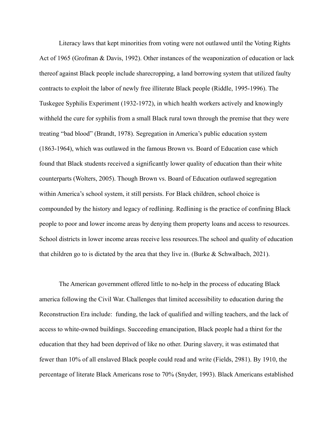Literacy laws that kept minorities from voting were not outlawed until the Voting Rights Act of 1965 (Grofman & Davis, 1992). Other instances of the weaponization of education or lack thereof against Black people include sharecropping, a land borrowing system that utilized faulty contracts to exploit the labor of newly free illiterate Black people (Riddle, 1995-1996). The Tuskegee Syphilis Experiment (1932-1972), in which health workers actively and knowingly withheld the cure for syphilis from a small Black rural town through the premise that they were treating "bad blood" (Brandt, 1978). Segregation in America's public education system (1863-1964), which was outlawed in the famous Brown vs. Board of Education case which found that Black students received a significantly lower quality of education than their white counterparts (Wolters, 2005). Though Brown vs. Board of Education outlawed segregation within America's school system, it still persists. For Black children, school choice is compounded by the history and legacy of redlining. Redlining is the practice of confining Black people to poor and lower income areas by denying them property loans and access to resources. School districts in lower income areas receive less resources.The school and quality of education that children go to is dictated by the area that they live in. (Burke  $&$  Schwalbach, 2021).

The American government offered little to no-help in the process of educating Black america following the Civil War. Challenges that limited accessibility to education during the Reconstruction Era include: funding, the lack of qualified and willing teachers, and the lack of access to white-owned buildings. Succeeding emancipation, Black people had a thirst for the education that they had been deprived of like no other. During slavery, it was estimated that fewer than 10% of all enslaved Black people could read and write (Fields, 2981). By 1910, the percentage of literate Black Americans rose to 70% (Snyder, 1993). Black Americans established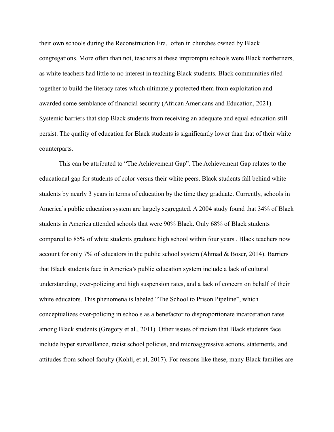their own schools during the Reconstruction Era, often in churches owned by Black congregations. More often than not, teachers at these impromptu schools were Black northerners, as white teachers had little to no interest in teaching Black students. Black communities riled together to build the literacy rates which ultimately protected them from exploitation and awarded some semblance of financial security (African Americans and Education, 2021). Systemic barriers that stop Black students from receiving an adequate and equal education still persist. The quality of education for Black students is significantly lower than that of their white counterparts.

This can be attributed to "The Achievement Gap". The Achievement Gap relates to the educational gap for students of color versus their white peers. Black students fall behind white students by nearly 3 years in terms of education by the time they graduate. Currently, schools in America's public education system are largely segregated. A 2004 study found that 34% of Black students in America attended schools that were 90% Black. Only 68% of Black students compared to 85% of white students graduate high school within four years . Black teachers now account for only 7% of educators in the public school system (Ahmad  $\&$  Boser, 2014). Barriers that Black students face in America's public education system include a lack of cultural understanding, over-policing and high suspension rates, and a lack of concern on behalf of their white educators. This phenomena is labeled "The School to Prison Pipeline", which conceptualizes over-policing in schools as a benefactor to disproportionate incarceration rates among Black students (Gregory et al., 2011). Other issues of racism that Black students face include hyper surveillance, racist school policies, and microaggressive actions, statements, and attitudes from school faculty (Kohli, et al, 2017). For reasons like these, many Black families are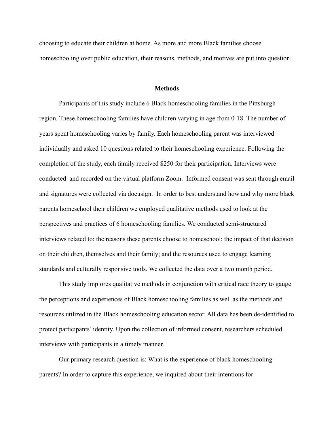choosing to educate their children at home. As more and more Black families choose homeschooling over public education, their reasons, methods, and motives are put into question.

## **Methods**

Participants of this study include 6 Black homeschooling families in the Pittsburgh region. These homeschooling families have children varying in age from 0-18. The number of years spent homeschooling varies by family. Each homeschooling parent was interviewed individually and asked 10 questions related to their homeschooling experience. Following the completion of the study, each family received \$250 for their participation. Interviews were conducted and recorded on the virtual platform Zoom. Informed consent was sent through email and signatures were collected via docusign. In order to best understand how and why more black parents homeschool their children we employed qualitative methods used to look at the perspectives and practices of 6 homeschooling families. We conducted semi-structured interviews related to: the reasons these parents choose to homeschool; the impact of that decision on their children, themselves and their family; and the resources used to engage learning standards and culturally responsive tools. We collected the data over a two month period.

This study implores qualitative methods in conjunction with critical race theory to gauge the perceptions and experiences of Black homeschooling families as well as the methods and resources utilized in the Black homeschooling education sector. All data has been de-identified to protect participants' identity. Upon the collection of informed consent, researchers scheduled interviews with participants in a timely manner.

Our primary research question is: What is the experience of black homeschooling parents? In order to capture this experience, we inquired about their intentions for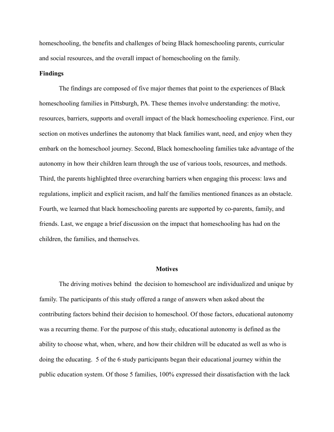homeschooling, the benefits and challenges of being Black homeschooling parents, curricular and social resources, and the overall impact of homeschooling on the family.

## **Findings**

The findings are composed of five major themes that point to the experiences of Black homeschooling families in Pittsburgh, PA. These themes involve understanding: the motive, resources, barriers, supports and overall impact of the black homeschooling experience. First, our section on motives underlines the autonomy that black families want, need, and enjoy when they embark on the homeschool journey. Second, Black homeschooling families take advantage of the autonomy in how their children learn through the use of various tools, resources, and methods. Third, the parents highlighted three overarching barriers when engaging this process: laws and regulations, implicit and explicit racism, and half the families mentioned finances as an obstacle. Fourth, we learned that black homeschooling parents are supported by co-parents, family, and friends. Last, we engage a brief discussion on the impact that homeschooling has had on the children, the families, and themselves.

#### **Motives**

The driving motives behind the decision to homeschool are individualized and unique by family. The participants of this study offered a range of answers when asked about the contributing factors behind their decision to homeschool. Of those factors, educational autonomy was a recurring theme. For the purpose of this study, educational autonomy is defined as the ability to choose what, when, where, and how their children will be educated as well as who is doing the educating. 5 of the 6 study participants began their educational journey within the public education system. Of those 5 families, 100% expressed their dissatisfaction with the lack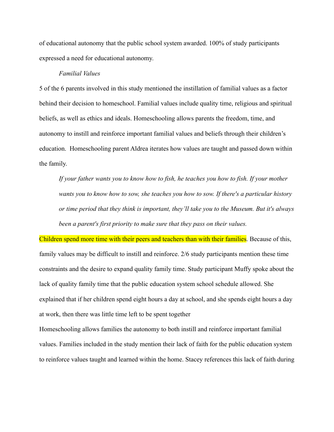of educational autonomy that the public school system awarded. 100% of study participants expressed a need for educational autonomy.

## *Familial Values*

5 of the 6 parents involved in this study mentioned the instillation of familial values as a factor behind their decision to homeschool. Familial values include quality time, religious and spiritual beliefs, as well as ethics and ideals. Homeschooling allows parents the freedom, time, and autonomy to instill and reinforce important familial values and beliefs through their children's education. Homeschooling parent Aldrea iterates how values are taught and passed down within the family.

*If your father wants you to know how to fish, he teaches you how to fish. If your mother wants you to know how to sow, she teaches you how to sow. If there's a particular history or time period that they think is important, they'll take you to the Museum. But it's always been a parent's first priority to make sure that they pass on their values.*

Children spend more time with their peers and teachers than with their families. Because of this, family values may be difficult to instill and reinforce. 2/6 study participants mention these time constraints and the desire to expand quality family time. Study participant Muffy spoke about the lack of quality family time that the public education system school schedule allowed. She explained that if her children spend eight hours a day at school, and she spends eight hours a day at work, then there was little time left to be spent together

Homeschooling allows families the autonomy to both instill and reinforce important familial values. Families included in the study mention their lack of faith for the public education system to reinforce values taught and learned within the home. Stacey references this lack of faith during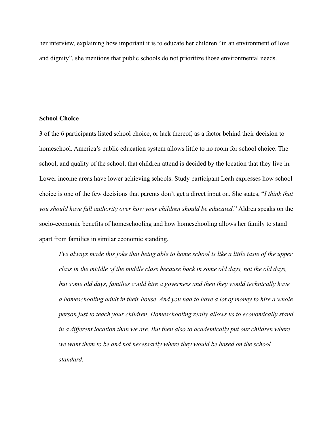her interview, explaining how important it is to educate her children "in an environment of love and dignity", she mentions that public schools do not prioritize those environmental needs.

## **School Choice**

3 of the 6 participants listed school choice, or lack thereof, as a factor behind their decision to homeschool. America's public education system allows little to no room for school choice. The school, and quality of the school, that children attend is decided by the location that they live in. Lower income areas have lower achieving schools. Study participant Leah expresses how school choice is one of the few decisions that parents don't get a direct input on. She states, "*I think that you should have full authority over how your children should be educated.*" Aldrea speaks on the socio-economic benefits of homeschooling and how homeschooling allows her family to stand apart from families in similar economic standing.

*I've always made this joke that being able to home school is like a little taste of the upper class in the middle of the middle class because back in some old days, not the old days, but some old days, families could hire a governess and then they would technically have a homeschooling adult in their house. And you had to have a lot of money to hire a whole person just to teach your children. Homeschooling really allows us to economically stand in a different location than we are. But then also to academically put our children where we want them to be and not necessarily where they would be based on the school standard.*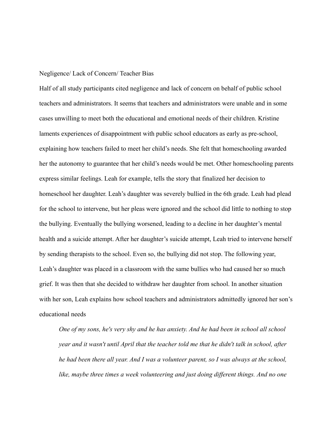#### Negligence/ Lack of Concern/ Teacher Bias

Half of all study participants cited negligence and lack of concern on behalf of public school teachers and administrators. It seems that teachers and administrators were unable and in some cases unwilling to meet both the educational and emotional needs of their children. Kristine laments experiences of disappointment with public school educators as early as pre-school, explaining how teachers failed to meet her child's needs. She felt that homeschooling awarded her the autonomy to guarantee that her child's needs would be met. Other homeschooling parents express similar feelings. Leah for example, tells the story that finalized her decision to homeschool her daughter. Leah's daughter was severely bullied in the 6th grade. Leah had plead for the school to intervene, but her pleas were ignored and the school did little to nothing to stop the bullying. Eventually the bullying worsened, leading to a decline in her daughter's mental health and a suicide attempt. After her daughter's suicide attempt, Leah tried to intervene herself by sending therapists to the school. Even so, the bullying did not stop. The following year, Leah's daughter was placed in a classroom with the same bullies who had caused her so much grief. It was then that she decided to withdraw her daughter from school. In another situation with her son, Leah explains how school teachers and administrators admittedly ignored her son's educational needs

*One of my sons, he's very shy and he has anxiety. And he had been in school all school year and it wasn't until April that the teacher told me that he didn't talk in school, after he had been there all year. And I was a volunteer parent, so I was always at the school, like, maybe three times a week volunteering and just doing different things. And no one*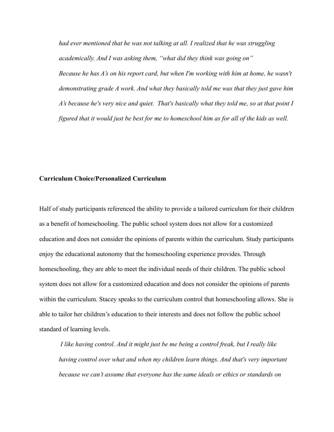*had ever mentioned that he was not talking at all. I realized that he was struggling academically. And I was asking them, "what did they think was going on" Because he has A's on his report card, but when I'm working with him at home, he wasn't demonstrating grade A work. And what they basically told me was that they just gave him A's because he's very nice and quiet. That's basically what they told me, so at that point I figured that it would just be best for me to homeschool him as for all of the kids as well.*

# **Curriculum Choice/Personalized Curriculum**

Half of study participants referenced the ability to provide a tailored curriculum for their children as a benefit of homeschooling. The public school system does not allow for a customized education and does not consider the opinions of parents within the curriculum. Study participants enjoy the educational autonomy that the homeschooling experience provides. Through homeschooling, they are able to meet the individual needs of their children. The public school system does not allow for a customized education and does not consider the opinions of parents within the curriculum. Stacey speaks to the curriculum control that homeschooling allows. She is able to tailor her children's education to their interests and does not follow the public school standard of learning levels.

*I like having control. And it might just be me being a control freak, but I really like having control over what and when my children learn things. And that's very important because we can't assume that everyone has the same ideals or ethics or standards on*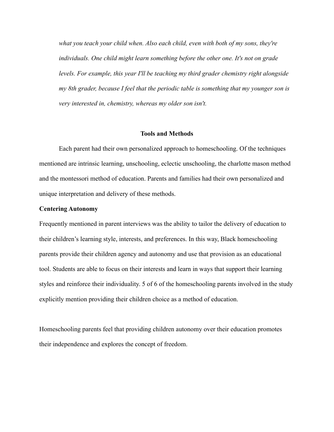*what you teach your child when. Also each child, even with both of my sons, they're individuals. One child might learn something before the other one. It's not on grade levels. For example, this year I'll be teaching my third grader chemistry right alongside my 8th grader, because I feel that the periodic table is something that my younger son is very interested in, chemistry, whereas my older son isn't.*

## **Tools and Methods**

Each parent had their own personalized approach to homeschooling. Of the techniques mentioned are intrinsic learning, unschooling, eclectic unschooling, the charlotte mason method and the montessori method of education. Parents and families had their own personalized and unique interpretation and delivery of these methods.

#### **Centering Autonomy**

Frequently mentioned in parent interviews was the ability to tailor the delivery of education to their children's learning style, interests, and preferences. In this way, Black homeschooling parents provide their children agency and autonomy and use that provision as an educational tool. Students are able to focus on their interests and learn in ways that support their learning styles and reinforce their individuality. 5 of 6 of the homeschooling parents involved in the study explicitly mention providing their children choice as a method of education.

Homeschooling parents feel that providing children autonomy over their education promotes their independence and explores the concept of freedom.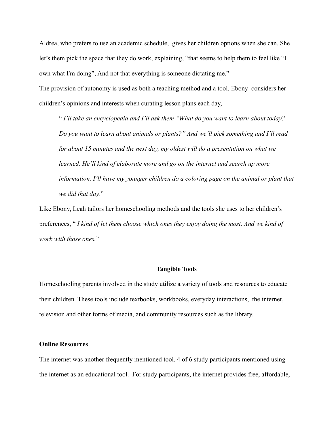Aldrea, who prefers to use an academic schedule, gives her children options when she can. She let's them pick the space that they do work, explaining, "that seems to help them to feel like "I own what I'm doing", And not that everything is someone dictating me."

The provision of autonomy is used as both a teaching method and a tool. Ebony considers her children's opinions and interests when curating lesson plans each day,

" *I'll take an encyclopedia and I'll ask them "What do you want to learn about today? Do you want to learn about animals or plants?" And we'll pick something and I'll read for about 15 minutes and the next day, my oldest will do a presentation on what we learned. He'll kind of elaborate more and go on the internet and search up more information. I'll have my younger children do a coloring page on the animal or plant that we did that day*."

Like Ebony, Leah tailors her homeschooling methods and the tools she uses to her children's preferences, " *I kind of let them choose which ones they enjoy doing the most. And we kind of work with those ones.*"

#### **Tangible Tools**

Homeschooling parents involved in the study utilize a variety of tools and resources to educate their children. These tools include textbooks, workbooks, everyday interactions, the internet, television and other forms of media, and community resources such as the library.

#### **Online Resources**

The internet was another frequently mentioned tool. 4 of 6 study participants mentioned using the internet as an educational tool. For study participants, the internet provides free, affordable,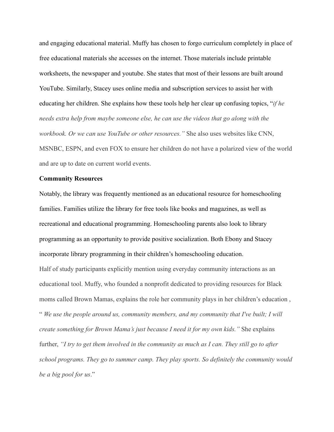and engaging educational material. Muffy has chosen to forgo curriculum completely in place of free educational materials she accesses on the internet. Those materials include printable worksheets, the newspaper and youtube. She states that most of their lessons are built around YouTube. Similarly, Stacey uses online media and subscription services to assist her with educating her children. She explains how these tools help her clear up confusing topics, "*if he needs extra help from maybe someone else, he can use the videos that go along with the workbook. Or we can use YouTube or other resources."* She also uses websites like CNN, MSNBC, ESPN, and even FOX to ensure her children do not have a polarized view of the world and are up to date on current world events.

#### **Community Resources**

Notably, the library was frequently mentioned as an educational resource for homeschooling families. Families utilize the library for free tools like books and magazines, as well as recreational and educational programming. Homeschooling parents also look to library programming as an opportunity to provide positive socialization. Both Ebony and Stacey incorporate library programming in their children's homeschooling education.

Half of study participants explicitly mention using everyday community interactions as an educational tool. Muffy, who founded a nonprofit dedicated to providing resources for Black moms called Brown Mamas, explains the role her community plays in her children's education , " *We use the people around us, community members, and my community that I've built; I will create something for Brown Mama's just because I need it for my own kids."* She explains further, *"I try to get them involved in the community as much as I can. They still go to after school programs. They go to summer camp. They play sports. So definitely the community would be a big pool for us*."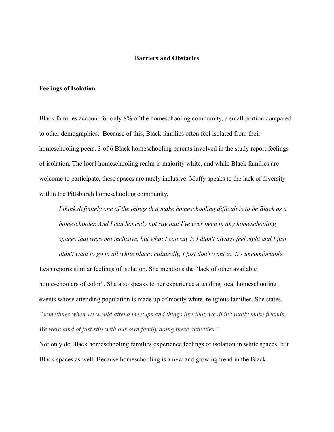# **Barriers and Obstacles**

## **Feelings of Isolation**

Black families account for only 8% of the homeschooling community, a small portion compared to other demographics. Because of this, Black families often feel isolated from their homeschooling peers. 3 of 6 Black homeschooling parents involved in the study report feelings of isolation. The local homeschooling realm is majority white, and while Black families are welcome to participate, these spaces are rarely inclusive. Muffy speaks to the lack of diversity within the Pittsburgh homeschooling community,

*I think definitely one of the things that make homeschooling difficult is to be Black as a homeschooler. And I can honestly not say that I've ever been in any homeschooling spaces that were not inclusive, but what I can say is I didn't always feel right and I just didn't want to go to all white places culturally, I just don't want to. It's uncomfortable.*

Leah reports similar feelings of isolation. She mentions the "lack of other available homeschoolers of color". She also speaks to her experience attending local homeschooling events whose attending population is made up of mostly white, religious families. She states, *"sometimes when we would attend meetups and things like that, we didn't really make friends. We were kind of just still with our own family doing these activities."*

Not only do Black homeschooling families experience feelings of isolation in white spaces, but Black spaces as well. Because homeschooling is a new and growing trend in the Black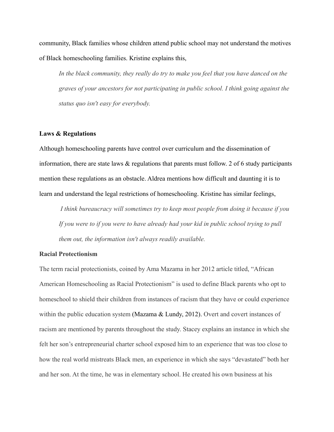community, Black families whose children attend public school may not understand the motives of Black homeschooling families. Kristine explains this,

*In the black community, they really do try to make you feel that you have danced on the graves of your ancestors for not participating in public school. I think going against the status quo isn't easy for everybody.*

## **Laws & Regulations**

Although homeschooling parents have control over curriculum and the dissemination of information, there are state laws & regulations that parents must follow. 2 of 6 study participants mention these regulations as an obstacle. Aldrea mentions how difficult and daunting it is to learn and understand the legal restrictions of homeschooling. Kristine has similar feelings,

*I think bureaucracy will sometimes try to keep most people from doing it because if you If you were to if you were to have already had your kid in public school trying to pull them out, the information isn't always readily available.*

## **Racial Protectionism**

The term racial protectionists, coined by Ama Mazama in her 2012 article titled, "African American Homeschooling as Racial Protectionism" is used to define Black parents who opt to homeschool to shield their children from instances of racism that they have or could experience within the public education system (Mazama & Lundy, 2012). Overt and covert instances of racism are mentioned by parents throughout the study. Stacey explains an instance in which she felt her son's entrepreneurial charter school exposed him to an experience that was too close to how the real world mistreats Black men, an experience in which she says "devastated" both her and her son. At the time, he was in elementary school. He created his own business at his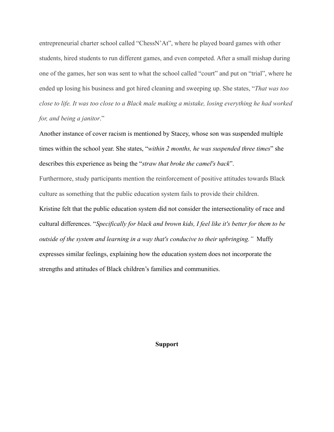entrepreneurial charter school called "ChessN'At", where he played board games with other students, hired students to run different games, and even competed. After a small mishap during one of the games, her son was sent to what the school called "court" and put on "trial", where he ended up losing his business and got hired cleaning and sweeping up. She states, "*That was too close to life. It was too close to a Black male making a mistake, losing everything he had worked for, and being a janitor*."

Another instance of cover racism is mentioned by Stacey, whose son was suspended multiple times within the school year. She states, "*within 2 months, he was suspended three times*" she describes this experience as being the "*straw that broke the camel's back*".

Furthermore, study participants mention the reinforcement of positive attitudes towards Black culture as something that the public education system fails to provide their children.

Kristine felt that the public education system did not consider the intersectionality of race and cultural differences. "*Specifically for black and brown kids, I feel like it's better for them to be outside of the system and learning in a way that's conducive to their upbringing."* Muffy expresses similar feelings, explaining how the education system does not incorporate the strengths and attitudes of Black children's families and communities.

#### **Support**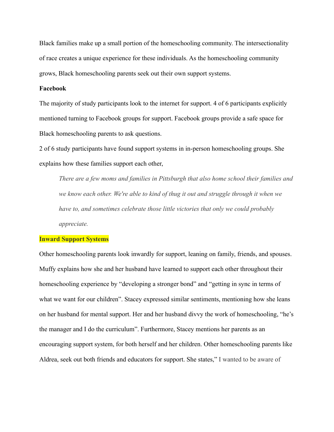Black families make up a small portion of the homeschooling community. The intersectionality of race creates a unique experience for these individuals. As the homeschooling community grows, Black homeschooling parents seek out their own support systems.

## **Facebook**

The majority of study participants look to the internet for support. 4 of 6 participants explicitly mentioned turning to Facebook groups for support. Facebook groups provide a safe space for Black homeschooling parents to ask questions.

2 of 6 study participants have found support systems in in-person homeschooling groups. She explains how these families support each other,

*There are a few moms and families in Pittsburgh that also home school their families and we know each other. We're able to kind of thug it out and struggle through it when we have to, and sometimes celebrate those little victories that only we could probably appreciate.*

## **Inward Support Systems**

Other homeschooling parents look inwardly for support, leaning on family, friends, and spouses. Muffy explains how she and her husband have learned to support each other throughout their homeschooling experience by "developing a stronger bond" and "getting in sync in terms of what we want for our children". Stacey expressed similar sentiments, mentioning how she leans on her husband for mental support. Her and her husband divvy the work of homeschooling, "he's the manager and I do the curriculum". Furthermore, Stacey mentions her parents as an encouraging support system, for both herself and her children. Other homeschooling parents like Aldrea, seek out both friends and educators for support. She states," I wanted to be aware of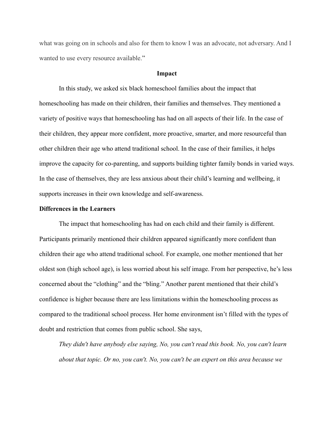what was going on in schools and also for them to know I was an advocate, not adversary. And I wanted to use every resource available."

#### **Impact**

In this study, we asked six black homeschool families about the impact that homeschooling has made on their children, their families and themselves. They mentioned a variety of positive ways that homeschooling has had on all aspects of their life. In the case of their children, they appear more confident, more proactive, smarter, and more resourceful than other children their age who attend traditional school. In the case of their families, it helps improve the capacity for co-parenting, and supports building tighter family bonds in varied ways. In the case of themselves, they are less anxious about their child's learning and wellbeing, it supports increases in their own knowledge and self-awareness.

#### **Differences in the Learners**

The impact that homeschooling has had on each child and their family is different. Participants primarily mentioned their children appeared significantly more confident than children their age who attend traditional school. For example, one mother mentioned that her oldest son (high school age), is less worried about his self image. From her perspective, he's less concerned about the "clothing" and the "bling." Another parent mentioned that their child's confidence is higher because there are less limitations within the homeschooling process as compared to the traditional school process. Her home environment isn't filled with the types of doubt and restriction that comes from public school. She says,

*They didn't have anybody else saying, No, you can't read this book. No, you can't learn about that topic. Or no, you can't. No, you can't be an expert on this area because we*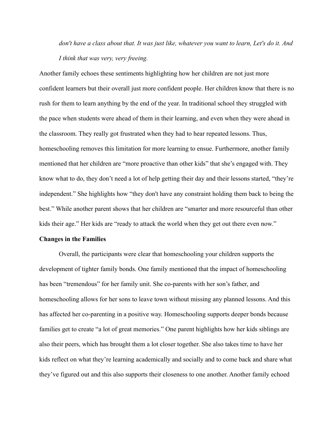*don't have a class about that. It was just like, whatever you want to learn, Let's do it. And I think that was very, very freeing.*

Another family echoes these sentiments highlighting how her children are not just more confident learners but their overall just more confident people. Her children know that there is no rush for them to learn anything by the end of the year. In traditional school they struggled with the pace when students were ahead of them in their learning, and even when they were ahead in the classroom. They really got frustrated when they had to hear repeated lessons. Thus, homeschooling removes this limitation for more learning to ensue. Furthermore, another family mentioned that her children are "more proactive than other kids" that she's engaged with. They know what to do, they don't need a lot of help getting their day and their lessons started, "they're independent." She highlights how "they don't have any constraint holding them back to being the best." While another parent shows that her children are "smarter and more resourceful than other kids their age." Her kids are "ready to attack the world when they get out there even now."

#### **Changes in the Families**

Overall, the participants were clear that homeschooling your children supports the development of tighter family bonds. One family mentioned that the impact of homeschooling has been "tremendous" for her family unit. She co-parents with her son's father, and homeschooling allows for her sons to leave town without missing any planned lessons. And this has affected her co-parenting in a positive way. Homeschooling supports deeper bonds because families get to create "a lot of great memories." One parent highlights how her kids siblings are also their peers, which has brought them a lot closer together. She also takes time to have her kids reflect on what they're learning academically and socially and to come back and share what they've figured out and this also supports their closeness to one another. Another family echoed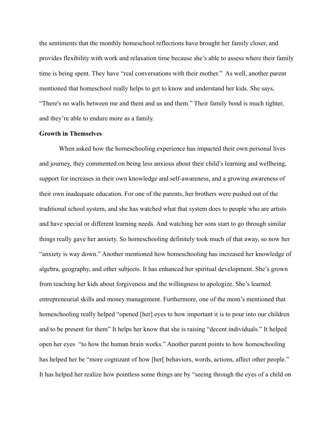the sentiments that the monthly homeschool reflections have brought her family closer, and provides flexibility with work and relaxation time because she's able to assess where their family time is being spent. They have "real conversations with their mother." As well, another parent mentioned that homeschool really helps to get to know and understand her kids. She says, "There's no walls between me and them and us and them." Their family bond is much tighter, and they're able to endure more as a family.

# **Growth in Themselves**

When asked how the homeschooling experience has impacted their own personal lives and journey, they commented on being less anxious about their child's learning and wellbeing, support for increases in their own knowledge and self-awareness, and a growing awareness of their own inadequate education. For one of the parents, her brothers were pushed out of the traditional school system, and she has watched what that system does to people who are artists and have special or different learning needs. And watching her sons start to go through similar things really gave her anxiety. So homeschooling definitely took much of that away, so now her "anxiety is way down." Another mentioned how homeschooling has increased her knowledge of algebra, geography, and other subjects. It has enhanced her spiritual development. She's grown from teaching her kids about forgiveness and the willingness to apologize. She's learned entrepreneurial skills and money management. Furthermore, one of the mom's mentioned that homeschooling really helped "opened [her] eyes to how important it is to pour into our children and to be present for them" It helps her know that she is raising "decent individuals." It helped open her eyes "to how the human brain works." Another parent points to how homeschooling has helped her be "more cognizant of how [her] behaviors, words, actions, affect other people." It has helped her realize how pointless some things are by "seeing through the eyes of a child on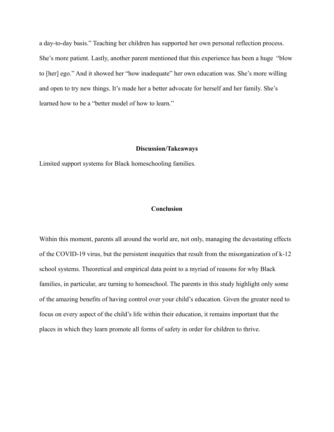a day-to-day basis." Teaching her children has supported her own personal reflection process. She's more patient. Lastly, another parent mentioned that this experience has been a huge "blow to [her] ego." And it showed her "how inadequate" her own education was. She's more willing and open to try new things. It's made her a better advocate for herself and her family. She's learned how to be a "better model of how to learn."

#### **Discussion/Takeaways**

Limited support systems for Black homeschooling families.

## **Conclusion**

Within this moment, parents all around the world are, not only, managing the devastating effects of the COVID-19 virus, but the persistent inequities that result from the misorganization of k-12 school systems. Theoretical and empirical data point to a myriad of reasons for why Black families, in particular, are turning to homeschool. The parents in this study highlight only some of the amazing benefits of having control over your child's education. Given the greater need to focus on every aspect of the child's life within their education, it remains important that the places in which they learn promote all forms of safety in order for children to thrive.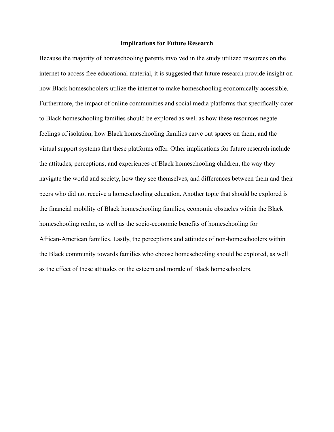## **Implications for Future Research**

Because the majority of homeschooling parents involved in the study utilized resources on the internet to access free educational material, it is suggested that future research provide insight on how Black homeschoolers utilize the internet to make homeschooling economically accessible. Furthermore, the impact of online communities and social media platforms that specifically cater to Black homeschooling families should be explored as well as how these resources negate feelings of isolation, how Black homeschooling families carve out spaces on them, and the virtual support systems that these platforms offer. Other implications for future research include the attitudes, perceptions, and experiences of Black homeschooling children, the way they navigate the world and society, how they see themselves, and differences between them and their peers who did not receive a homeschooling education. Another topic that should be explored is the financial mobility of Black homeschooling families, economic obstacles within the Black homeschooling realm, as well as the socio-economic benefits of homeschooling for African-American families. Lastly, the perceptions and attitudes of non-homeschoolers within the Black community towards families who choose homeschooling should be explored, as well as the effect of these attitudes on the esteem and morale of Black homeschoolers.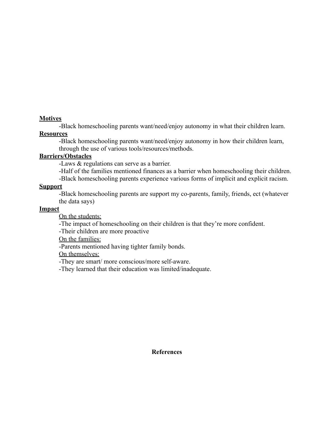# **Motives**

-Black homeschooling parents want/need/enjoy autonomy in what their children learn.

# **Resources**

-Black homeschooling parents want/need/enjoy autonomy in how their children learn, through the use of various tools/resources/methods.

# **Barriers/Obstacles**

-Laws & regulations can serve as a barrier.

-Half of the families mentioned finances as a barrier when homeschooling their children.

-Black homeschooling parents experience various forms of implicit and explicit racism.

# **Support**

-Black homeschooling parents are support my co-parents, family, friends, ect (whatever the data says)

# **Impact**

On the students:

-The impact of homeschooling on their children is that they're more confident.

-Their children are more proactive

On the families:

-Parents mentioned having tighter family bonds.

On themselves:

-They are smart/ more conscious/more self-aware.

-They learned that their education was limited/inadequate.

**References**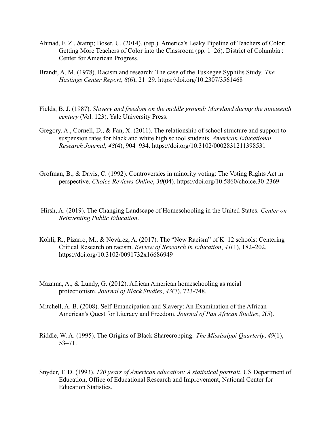- Ahmad, F. Z., & amp; Boser, U. (2014). (rep.). America's Leaky Pipeline of Teachers of Color: Getting More Teachers of Color into the Classroom (pp. 1–26). District of Columbia : Center for American Progress.
- Brandt, A. M. (1978). Racism and research: The case of the Tuskegee Syphilis Study. *The Hastings Center Report*, *8*(6), 21–29. https://doi.org/10.2307/3561468
- Fields, B. J. (1987). *Slavery and freedom on the middle ground: Maryland during the nineteenth century* (Vol. 123). Yale University Press.
- Gregory, A., Cornell, D., & Fan, X. (2011). The relationship of school structure and support to suspension rates for black and white high school students. *American Educational Research Journal*, *48*(4), 904–934. https://doi.org/10.3102/0002831211398531
- Grofman, B., & Davis, C. (1992). Controversies in minority voting: The Voting Rights Act in perspective. *Choice Reviews Online*, *30*(04). https://doi.org/10.5860/choice.30-2369
- Hirsh, A. (2019). The Changing Landscape of Homeschooling in the United States. *Center on Reinventing Public Education*.
- Kohli, R., Pizarro, M., & Nevárez, A. (2017). The "New Racism" of K–12 schools: Centering Critical Research on racism. *Review of Research in Education*, *41*(1), 182–202. https://doi.org/10.3102/0091732x16686949
- Mazama, A., & Lundy, G. (2012). African American homeschooling as racial protectionism. *Journal of Black Studies*, *43*(7), 723-748.
- Mitchell, A. B. (2008). Self-Emancipation and Slavery: An Examination of the African American's Quest for Literacy and Freedom. *Journal of Pan African Studies*, *2*(5).
- Riddle, W. A. (1995). The Origins of Black Sharecropping. *The Mississippi Quarterly*, *49*(1), 53–71.
- Snyder, T. D. (1993). *120 years of American education: A statistical portrait*. US Department of Education, Office of Educational Research and Improvement, National Center for Education Statistics.